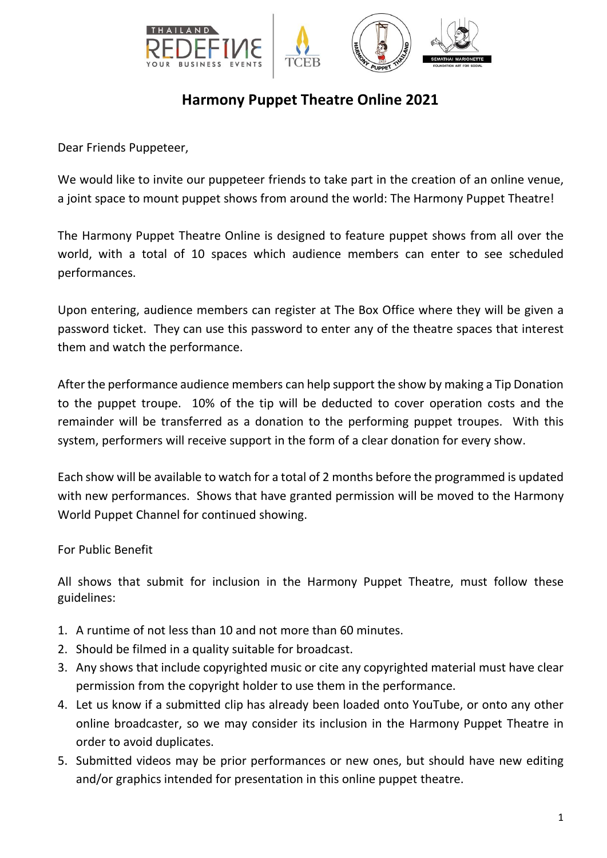

## **Harmony Puppet Theatre Online 2021**

Dear Friends Puppeteer,

We would like to invite our puppeteer friends to take part in the creation of an online venue, a joint space to mount puppet shows from around the world: The Harmony Puppet Theatre!

The Harmony Puppet Theatre Online is designed to feature puppet shows from all over the world, with a total of 10 spaces which audience members can enter to see scheduled performances.

Upon entering, audience members can register at The Box Office where they will be given a password ticket. They can use this password to enter any of the theatre spaces that interest them and watch the performance.

After the performance audience members can help support the show by making a Tip Donation to the puppet troupe. 10% of the tip will be deducted to cover operation costs and the remainder will be transferred as a donation to the performing puppet troupes. With this system, performers will receive support in the form of a clear donation for every show.

Each show will be available to watch for a total of 2 months before the programmed is updated with new performances. Shows that have granted permission will be moved to the Harmony World Puppet Channel for continued showing.

For Public Benefit

All shows that submit for inclusion in the Harmony Puppet Theatre, must follow these guidelines:

- 1. A runtime of not less than 10 and not more than 60 minutes.
- 2. Should be filmed in a quality suitable for broadcast.
- 3. Any shows that include copyrighted music or cite any copyrighted material must have clear permission from the copyright holder to use them in the performance.
- 4. Let us know if a submitted clip has already been loaded onto YouTube, or onto any other online broadcaster, so we may consider its inclusion in the Harmony Puppet Theatre in order to avoid duplicates.
- 5. Submitted videos may be prior performances or new ones, but should have new editing and/or graphics intended for presentation in this online puppet theatre.